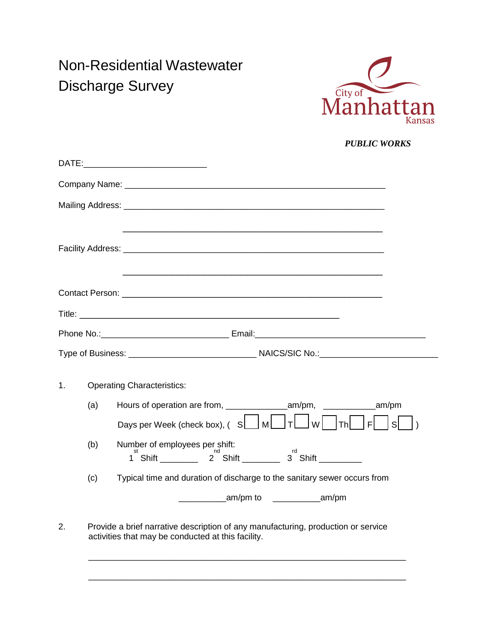## Non-Residential Wastewater Discharge Survey



 *PUBLIC WORKS*

|                |                                                                                                                                         | <u> 1989 - Johann Harry Harry Harry Harry Harry Harry Harry Harry Harry Harry Harry Harry Harry Harry Harry Harry</u> |  |
|----------------|-----------------------------------------------------------------------------------------------------------------------------------------|-----------------------------------------------------------------------------------------------------------------------|--|
|                |                                                                                                                                         |                                                                                                                       |  |
|                |                                                                                                                                         |                                                                                                                       |  |
|                |                                                                                                                                         |                                                                                                                       |  |
|                |                                                                                                                                         |                                                                                                                       |  |
| $\mathbf{1}$ . | (a)                                                                                                                                     | <b>Operating Characteristics:</b>                                                                                     |  |
|                |                                                                                                                                         | Days per Week (check box), $($ S $\Box$ M $\Box$ T $\Box$ W $\Box$ Th $\Box$ F<br>sl                                  |  |
|                | (b)                                                                                                                                     | Number of employees per shift:<br>1 <sup>st</sup> Shift __________ 2 Shift _________ 3 Shift _________                |  |
|                | (c)                                                                                                                                     | Typical time and duration of discharge to the sanitary sewer occurs from                                              |  |
|                |                                                                                                                                         | am/pm to am/pm am/pm                                                                                                  |  |
| 2.             | Provide a brief narrative description of any manufacturing, production or service<br>activities that may be conducted at this facility. |                                                                                                                       |  |

 $\mathcal{L} = \{ \mathcal{L} = \{ \mathcal{L} = \{ \mathcal{L} = \mathcal{L} \} \mid \mathcal{L} = \{ \mathcal{L} = \{ \mathcal{L} = \mathcal{L} \} \mid \mathcal{L} = \{ \mathcal{L} = \{ \mathcal{L} = \mathcal{L} \} \mid \mathcal{L} = \{ \mathcal{L} = \{ \mathcal{L} = \mathcal{L} = \mathcal{L} \} \mid \mathcal{L} = \{ \mathcal{L} = \{ \mathcal{L} = \mathcal{L} = \mathcal{L} = \{ \mathcal{L} = \mathcal{L} = \mathcal{L} \} \$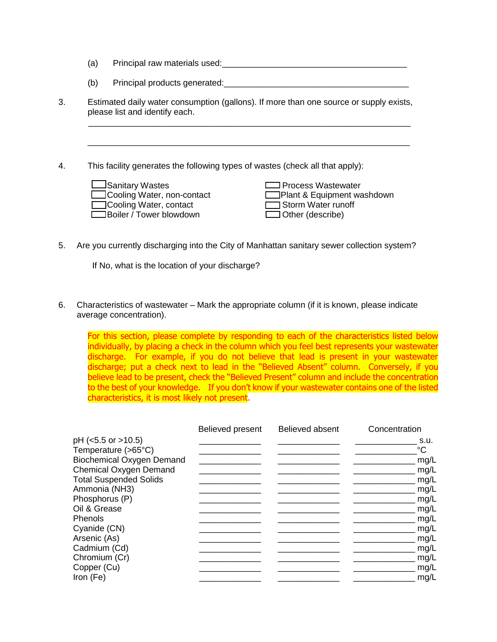- (a) Principal raw materials used:  $\Box$
- (b) Principal products generated:\_\_\_\_\_\_\_\_\_\_\_\_\_\_\_\_\_\_\_\_\_\_\_\_\_\_\_\_\_\_\_\_\_\_\_\_\_\_\_
- 3. Estimated daily water consumption (gallons). If more than one source or supply exists, please list and identify each.  $\mathcal{L}_\text{max}$  , and the contribution of the contribution of the contribution of the contribution of the contribution of the contribution of the contribution of the contribution of the contribution of the contribution of t
- 4. This facility generates the following types of wastes (check all that apply):

**Sanitary Wastes Communist Communist Communist Communist Communist Communist Communist Communist Communist Communist Communist Communist Communist Communist Communist Communist Communist Communist Communist Communist Commu** □Cooling Water, non-contact □ Plant & Equipment washdown Cooling Water, contact Storm Water runoff Boiler / Tower blowdown **Designed Strategier** Other (describe)

\_\_\_\_\_\_\_\_\_\_\_\_\_\_\_\_\_\_\_\_\_\_\_\_\_\_\_\_\_\_\_\_\_\_\_\_\_\_\_\_\_\_\_\_\_\_\_\_\_\_\_\_\_\_\_\_\_\_\_\_\_\_\_\_\_\_\_\_

5. Are you currently discharging into the City of Manhattan sanitary sewer collection system?

If No, what is the location of your discharge?

6. Characteristics of wastewater – Mark the appropriate column (if it is known, please indicate average concentration).

For this section, please complete by responding to each of the characteristics listed below individually, by placing a check in the column which you feel best represents your wastewater discharge. For example, if you do not believe that lead is present in your wastewater discharge; put a check next to lead in the "Believed Absent" column. Conversely, if you believe lead to be present, check the "Believed Present" column and include the concentration to the best of your knowledge. If you don't know if your wastewater contains one of the listed characteristics, it is most likely not present.

|                                  | Believed present | Believed absent | Concentration |
|----------------------------------|------------------|-----------------|---------------|
| $pH$ (<5.5 or >10.5)             |                  |                 | S.U.          |
| Temperature (>65°C)              |                  |                 | °C            |
| <b>Biochemical Oxygen Demand</b> |                  |                 | mg/L          |
| <b>Chemical Oxygen Demand</b>    |                  |                 | mg/L          |
| <b>Total Suspended Solids</b>    |                  |                 | mg/L          |
| Ammonia (NH3)                    |                  |                 | mg/L          |
| Phosphorus (P)                   |                  |                 | mg/L          |
| Oil & Grease                     |                  |                 | mg/L          |
| <b>Phenols</b>                   |                  |                 | mg/L          |
| Cyanide (CN)                     |                  |                 | mg/L          |
| Arsenic (As)                     |                  |                 | mg/L          |
| Cadmium (Cd)                     |                  |                 | mg/L          |
| Chromium (Cr)                    |                  |                 | mg/L          |
| Copper (Cu)                      |                  |                 | mg/L          |
| Iron (Fe)                        |                  |                 | mg/L          |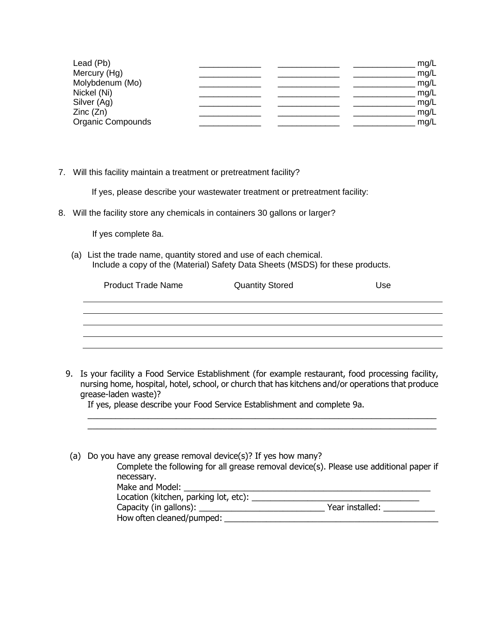| Lead (Pb)         |  | mg/L |
|-------------------|--|------|
| Mercury (Hg)      |  | mg/L |
| Molybdenum (Mo)   |  | mg/L |
| Nickel (Ni)       |  | mg/L |
| Silver (Ag)       |  | mg/L |
| Zinc(Zn)          |  | mg/L |
| Organic Compounds |  | mg/L |

7. Will this facility maintain a treatment or pretreatment facility?

If yes, please describe your wastewater treatment or pretreatment facility:

8. Will the facility store any chemicals in containers 30 gallons or larger?

If yes complete 8a.

 (a) List the trade name, quantity stored and use of each chemical. Include a copy of the (Material) Safety Data Sheets (MSDS) for these products.

| <b>Product Trade Name</b> | <b>Quantity Stored</b> | Use |
|---------------------------|------------------------|-----|
|                           |                        |     |
|                           |                        |     |
|                           |                        |     |
|                           |                        |     |

9. Is your facility a Food Service Establishment (for example restaurant, food processing facility, nursing home, hospital, hotel, school, or church that has kitchens and/or operations that produce grease-laden waste)?

 $\mathcal{L}_\mathcal{L} = \{ \mathcal{L}_\mathcal{L} = \{ \mathcal{L}_\mathcal{L} = \{ \mathcal{L}_\mathcal{L} = \{ \mathcal{L}_\mathcal{L} = \{ \mathcal{L}_\mathcal{L} = \{ \mathcal{L}_\mathcal{L} = \{ \mathcal{L}_\mathcal{L} = \{ \mathcal{L}_\mathcal{L} = \{ \mathcal{L}_\mathcal{L} = \{ \mathcal{L}_\mathcal{L} = \{ \mathcal{L}_\mathcal{L} = \{ \mathcal{L}_\mathcal{L} = \{ \mathcal{L}_\mathcal{L} = \{ \mathcal{L}_\mathcal{$ \_\_\_\_\_\_\_\_\_\_\_\_\_\_\_\_\_\_\_\_\_\_\_\_\_\_\_\_\_\_\_\_\_\_\_\_\_\_\_\_\_\_\_\_\_\_\_\_\_\_\_\_\_\_\_\_\_\_\_\_\_\_\_\_\_\_\_\_\_\_\_\_\_\_\_

If yes, please describe your Food Service Establishment and complete 9a.

| (a) Do you have any grease removal device(s)? If yes how many? |                                                                                         |  |  |  |  |
|----------------------------------------------------------------|-----------------------------------------------------------------------------------------|--|--|--|--|
|                                                                | Complete the following for all grease removal device(s). Please use additional paper if |  |  |  |  |
| necessary.                                                     |                                                                                         |  |  |  |  |
| Make and Model:                                                |                                                                                         |  |  |  |  |
| Location (kitchen, parking lot, etc):                          |                                                                                         |  |  |  |  |
| Capacity (in gallons): _____                                   | Year installed:                                                                         |  |  |  |  |
| How often cleaned/pumped:                                      |                                                                                         |  |  |  |  |